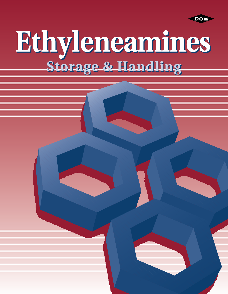

# Et hy leneamines **Storage & Handling Storage & Handling**

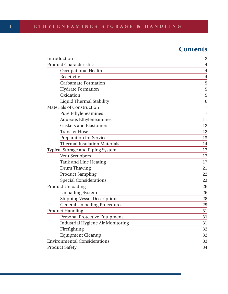# **Contents**

| Introduction                             | $\overline{c}$ |
|------------------------------------------|----------------|
| <b>Product Characteristics</b>           | $\overline{4}$ |
| <b>Occupational Health</b>               | $\overline{4}$ |
| Reactivity                               | $\overline{4}$ |
| <b>Carbamate Formation</b>               | 5              |
| <b>Hydrate Formation</b>                 | 5              |
| Oxidation                                | 5              |
| <b>Liquid Thermal Stability</b>          | 6              |
| <b>Materials of Construction</b>         | $\overline{7}$ |
| <b>Pure Ethyleneamines</b>               | $\overline{7}$ |
| <b>Aqueous Ethyleneamines</b>            | 11             |
| <b>Gaskets and Elastomers</b>            | 12             |
| <b>Transfer Hose</b>                     | 12             |
| <b>Preparation for Service</b>           | 13             |
| <b>Thermal Insulation Materials</b>      | 14             |
| <b>Typical Storage and Piping System</b> | 17             |
| <b>Vent Scrubbers</b>                    | 17             |
| <b>Tank and Line Heating</b>             | 17             |
| Drum Thawing                             | 21             |
| <b>Product Sampling</b>                  | 22             |
| <b>Special Considerations</b>            | 23             |
| <b>Product Unloading</b>                 | 26             |
| <b>Unloading System</b>                  | 26             |
| <b>Shipping Vessel Descriptions</b>      | 28             |
| <b>General Unloading Procedures</b>      | 29             |
| <b>Product Handling</b>                  | 31             |
| Personal Protective Equipment            | 31             |
| <b>Industrial Hygiene Air Monitoring</b> | 31             |
| Firefighting                             | 32             |
| <b>Equipment Cleanup</b>                 | 32             |
| <b>Environmental Considerations</b>      | 33             |
| <b>Product Safety</b>                    | 34             |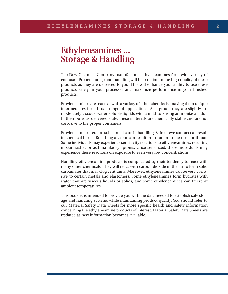# **Ethyleneamines ... Storage & Handling**

The Dow Chemical Company manufactures ethyleneamines for a wide variety of end uses. Proper storage and handling will help maintain the high quality of these products as they are delivered to you. This will enhance your ability to use these products safely in your processes and maximize performance in your finished products.

Ethyleneamines are reactive with a variety of other chemicals, making them unique intermediates for a broad range of applications. As a group, they are slightly-tomoderately viscous, water-soluble liquids with a mild-to-strong ammoniacal odor. In their pure, as-delivered state, these materials are chemically stable and are not corrosive to the proper containers.

Ethyleneamines require substantial care in handling. Skin or eye contact can result in chemical burns. Breathing a vapor can result in irritation to the nose or throat. Some individuals may experience sensitivity reactions to ethyleneamines, resulting in skin rashes or asthma-like symptoms. Once sensitized, these individuals may experience these reactions on exposure to even very low concentrations.

Handling ethyleneamine products is complicated by their tendency to react with many other chemicals. They will react with carbon dioxide in the air to form solid carbamates that may clog vent units. Moreover, ethyleneamines can be very corrosive to certain metals and elastomers. Some ethyleneamines form hydrates with water that are viscous liquids or solids, and some ethyleneamines can freeze at ambient temperatures.

This booklet is intended to provide you with the data needed to establish safe storage and handling systems while maintaining product quality. You should refer to our Material Safety Data Sheets for more specific health and safety information concerning the ethyleneamine products of interest. Material Safety Data Sheets are updated as new information becomes available.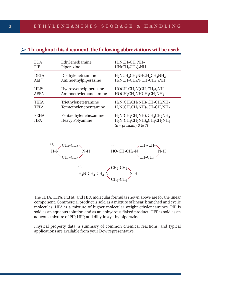| <b>EDA</b>                | Ethylenediamine                                 | $H_2NCH_2CH_2NH_2$                                                                               |
|---------------------------|-------------------------------------------------|--------------------------------------------------------------------------------------------------|
| PIP <sup>1</sup>          | Piperazine                                      | $HN(CH_2CH_2)_2NH$                                                                               |
| <b>DETA</b>               | Diethylenetriamine                              | $H_2NCH_2CH_2NHCH_2CH_2NH_2$                                                                     |
| AEP <sup>2</sup>          | Aminoethylpiperazine                            | $H_2NCH_2CH_2N(CH_2CH_2)_2NH$                                                                    |
| HEP <sup>3</sup>          | Hydroxyethylpiperazine                          | $HOCH2CH2N(CH2CH2)2NH$                                                                           |
| <b>AEEA</b>               | Aminoethylethanolamine                          | HOCH <sub>2</sub> CH <sub>2</sub> NHCH <sub>2</sub> CH <sub>2</sub> NH <sub>2</sub>              |
| <b>TETA</b>               | Triethylenetetramine                            | $H_2N(CH_2CH_2NH)_2CH_2CH_2NH_2$                                                                 |
| <b>TEPA</b>               | Tetraethylenepentamine                          | $H_2N(CH_2CH_2NH)_3CH_2CH_2NH_2$                                                                 |
| <b>PEHA</b><br><b>HPA</b> | Pentaethylenehexamine<br><b>Heavy Polyamine</b> | $H_2N(CH_2CH_2NH)_4CH_2CH_2NH_2$<br>$H_2N(CH_2CH_2NH)_nCH_2CH_2NH_2$<br>$(n = primarily 3 to 7)$ |

# $\triangleright$  Throughout this document, the following abbreviations will be used:



The TETA, TEPA, PEHA, and HPA molecular formulas shown above are for the linear component. Commercial product is sold as a mixture of linear, branched and cyclic molecules. HPA is a mixture of higher molecular weight ethyleneamines. PIP is sold as an aqueous solution and as an anhydrous flaked product. HEP is sold as an aqueous mixture of PIP, HEP, and dihydroxyethylpiperazine.

Physical property data, a summary of common chemical reactions, and typical applications are available from your Dow representative.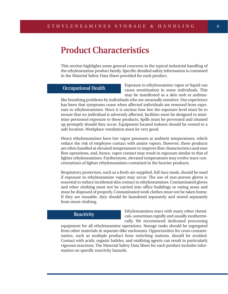# **Product Characteristics**

This section highlights some general concerns in the typical industrial handling of the ethyleneamine product family. Specific detailed safety information is contained in the Material Safety Data Sheet provided for each product.

## **Occupational Health**

Exposure to ethyleneamine vapor or liquid can cause sensitization in some individuals. This may be manifested as a skin rash or asthma-

like breathing problems by individuals who are unusually sensitive. Our experience has been that symptoms cease when affected individuals are removed from exposure to ethyleneamines. Since it is unclear how low the exposure level must be to ensure that no individual is adversely affected, facilities must be designed to minimize personnel exposure to these products. Spills must be prevented and cleaned up promptly should they occur. Equipment located indoors should be vented to a safe location. Workplace ventilation must be very good.

Heavy ethyleneamines have low vapor pressures at ambient temperatures, which reduce the risk of employee contact with amine vapors. However, these products are often handled at elevated temperatures to improve flow characteristics and ease flow operations, and, hence, vapor contact may result in exposure similar to that of lighter ethyleneamines. Furthermore, elevated temperatures may evolve trace concentrations of lighter ethyleneamines contained in the heavier products.

Respiratory protection, such as a fresh-air-supplied, full-face mask, should be used if exposure to ethyleneamine vapor may occur. The use of non-porous gloves is essential to reduce incidental skin contact to ethyleneamines. Contaminated gloves and other clothing must not be carried into office buildings or eating areas and must be disposed of properly. Contaminated work clothes must not be taken home. If they are reusable, they should be laundered separately and stored separately from street clothing.

#### **Reactivity**

Ethyleneamines react with many other chemicals, sometimes rapidly and usually exothermically. We recommend dedicated processing

equipment for all ethyleneamine operations. Storage tanks should be segregated from other materials in separate dike enclosures. Opportunities for cross contamination, such as multiple product hose switching stations, should be avoided. Contact with acids, organic halides, and oxidizing agents can result in particularly vigorous reactions. The Material Safety Data Sheet for each product includes information on specific reactivity hazards.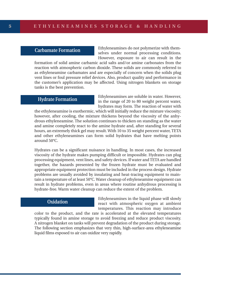#### **Carbamate Formation**

Ethyleneamines do not polymerize with themselves under normal processing conditions. However, exposure to air can result in the

formation of solid amine carbamic acid salts and/or amine carbonates from the reaction with atmospheric carbon dioxide. These solids are commonly referred to as ethyleneamine carbamates and are especially of concern when the solids plug vent lines or foul pressure relief devices. Also, product quality and performance in the customer's application may be affected. Using nitrogen blankets on storage tanks is the best prevention.

## **Hydrate Formation**

Ethyleneamines are soluble in water. However, in the range of 20 to 80 weight percent water, hydrates may form. The reaction of water with

the ethyleneamine is exothermic, which will initially reduce the mixture viscosity; however, after cooling, the mixture thickens beyond the viscosity of the anhydrous ethyleneamine. The solution continues to thicken on standing as the water and amine completely react to the amine hydrate and, after standing for several hours, an extremely thick gel may result. With 10 to 35 weight percent water, TETA and other ethyleneamines can form solid hydrates that have melting points around 50°C.

Hydrates can be a significant nuisance in handling. In most cases, the increased viscosity of the hydrate makes pumping difficult or impossible. Hydrates can plug processing equipment, vent lines, and safety devices. If water and TETA are handled together, the hazards presented by the frozen hydrate must be evaluated and appropriate equipment protection must be included in the process design. Hydrate problems are usually avoided by insulating and heat-tracing equipment to maintain a temperature of at least 50°C. Water cleanup of ethyleneamine equipment can result in hydrate problems, even in areas where routine anhydrous processing is hydrate-free. Warm water cleanup can reduce the extent of the problem.

#### **Oxidation**

Ethyleneamines in the liquid phase will slowly react with atmospheric oxygen at ambient temperatures. This reaction may introduce

color to the product, and the rate is accelerated at the elevated temperatures typically found in amine storage to avoid freezing and reduce product viscosity. A nitrogen blanket on tanks will prevent degradation of the product during storage. The following section emphasizes that very thin, high-surface-area ethyleneamine liquid films exposed to air can oxidize very rapidly.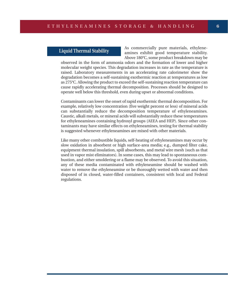## **Liquid Thermal Stability**

As commercially pure materials, ethyleneamines exhibit good temperature stability. Above 180°C, some product breakdown may be

observed in the form of ammonia odors and the formation of lower and higher molecular weight species. This degradation increases in rate as the temperature is raised. Laboratory measurements in an accelerating rate calorimeter show the degradation becomes a self-sustaining exothermic reaction at temperatures as low as 275°C. Allowing the product to exceed the self-sustaining reaction temperature can cause rapidly accelerating thermal decomposition. Processes should be designed to operate well below this threshold, even during upset or abnormal conditions.

Contaminants can lower the onset of rapid exothermic thermal decomposition. For example, relatively low concentration (five weight percent or less) of mineral acids can substantially reduce the decomposition temperature of ethyleneamines. Caustic, alkali metals, or mineral acids will substantially reduce these temperatures for ethyleneamines containing hydroxyl groups (AEEA and HEP). Since other contaminants may have similar effects on ethyleneamines, testing for thermal stability is suggested whenever ethyleneamines are mixed with other materials.

Like many other combustible liquids, self-heating of ethyleneamines may occur by slow oxidation in absorbent or high surface-area media; e.g., dumped filter cake, equipment thermal insulation, spill absorbents, and metal wire mesh (such as that used in vapor mist eliminators). In some cases, this may lead to spontaneous combustion, and either smoldering or a flame may be observed. To avoid this situation, any of these media contaminated with ethyleneamine should be washed with water to remove the ethyleneamine or be thoroughly wetted with water and then disposed of in closed, water-filled containers, consistent with local and Federal regulations.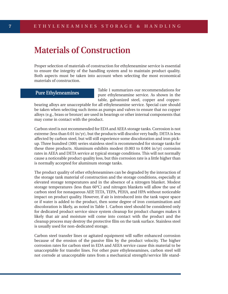# **Materials of Construction**

Proper selection of materials of construction for ethyleneamine service is essential to ensure the integrity of the handling system and to maintain product quality. Both aspects must be taken into account when selecting the most economical materials of construction.

# **Pure Ethyleneamines**

Table 1 summarizes our recommendations for pure ethyleneamine service. As shown in the table, galvanized steel, copper and copper-

bearing alloys are unacceptable for all ethyleneamine service. Special care should be taken when selecting such items as pumps and valves to ensure that no copper alloys (e.g., brass or bronze) are used in bearings or other internal components that may come in contact with the product.

Carbon steel is not recommended for EDA and AEEA storage tanks. Corrosion is not extreme (less than 0.01 in/yr), but the products will discolor very badly. DETA is less affected by carbon steel, but will still experience some discoloration and iron pickup. Three hundred (300) series stainless steel is recommended for storage tanks for these three products. Aluminum exhibits modest (0.003 to 0.004 in/yr) corrosion rates in AEEA and DETA service at typical storage conditions. This will not normally cause a noticeable product quality loss, but this corrosion rate is a little higher than is normally accepted for aluminum storage tanks.

The product quality of other ethyleneamines can be degraded by the interaction of the storage tank material of construction and the storage conditions, especially at elevated storage temperatures and in the absence of a nitrogen blanket. Modest storage temperatures (less than 60°C) and nitrogen blankets will allow the use of carbon steel for nonaqueous AEP, TETA, TEPA, PEHA, and HPA without noticeable impact on product quality. However, if air is introduced into the tank vapor space or if water is added to the product, then some degree of iron contamination and discoloration is likely, as noted in Table 1. Carbon steel should be considered only for dedicated product service since system cleanup for product changes makes it likely that air and moisture will come into contact with the product and the cleanup process may destroy the protective film on the tank surface. Stainless steel is usually used for non-dedicated storage.

Carbon steel transfer lines or agitated equipment will suffer enhanced corrosion because of the erosion of the passive film by the product velocity. The higher corrosion rates for carbon steel in EDA and AEEA service cause this material to be unacceptable for transfer lines. For other pure ethyleneamines, carbon steel will not corrode at unacceptable rates from a mechanical strength/service life stand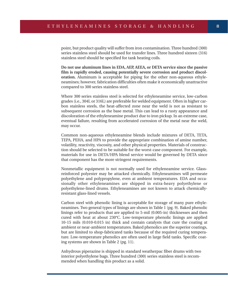point, but product quality will suffer from iron contamination. Three hundred (300) series stainless steel should be used for transfer lines. Three hundred sixteen (316) stainless steel should be specified for tank heating coils.

**Do not use aluminum lines in EDA, AEP, AEEA, or DETA service since the passive film is rapidly eroded, causing potentially severe corrosion and product discoloration.** Aluminum is acceptable for piping for the other non-aqueous ethyleneamines; however, fabrication difficulties often make it economically unattractive compared to 300 series stainless steel.

Where 300 series stainless steel is selected for ethyleneamine service, low-carbon grades (i.e., 304L or 316L) are preferable for welded equipment. Often in higher carbon stainless steels, the heat-affected zone near the weld is not as resistant to subsequent corrosion as the base metal. This can lead to a rusty appearance and discoloration of the ethyleneamine product due to iron pickup. In an extreme case, eventual failure, resulting from accelerated corrosion of the metal near the weld, may occur.

Common non-aqueous ethyleneamine blends include mixtures of DETA, TETA, TEPA, PEHA, and HPA to provide the appropriate combination of amine number, volatility, reactivity, viscosity, and other physical properties. Materials of construction should be selected to be suitable for the worst-case component. For example, materials for use in DETA/HPA blend service would be governed by DETA since that component has the more stringent requirements.

Nonmetallic equipment is not normally used for ethyleneamine service. Glassreinforced polyester may be attacked chemically. Ethyleneamines will permeate polyethylene and polypropylene, even at ambient temperatures. EDA and occasionally other ethyleneamines are shipped in extra-heavy polyethylene or polyethylene-lined drums. Ethyleneamines are not known to attack chemicallyresistant glass-lined vessels.

Carbon steel with phenolic lining is acceptable for storage of many pure ethyleneamines. Two general types of linings are shown in Table 1 (pg. 9). Baked phenolic linings refer to products that are applied to 5-mil (0.005-in) thicknesses and then cured with heat at about 230°C. Low-temperature phenolic linings are applied 10-15 mils (0.010-0.015 in) thick and contain catalysts that cure the coating at ambient or near-ambient temperatures. Baked phenolics are the superior coatings, but are limited to shop-fabricated tanks because of the required curing temperature. Low-temperature phenolics are often used in large field tanks. Specific coating systems are shown in Table 2 (pg. 11).

Anhydrous piperazine is shipped in standard weatherpac fiber drums with two interior polyethylene bags. Three hundred (300) series stainless steel is recommended when handling this product as a solid.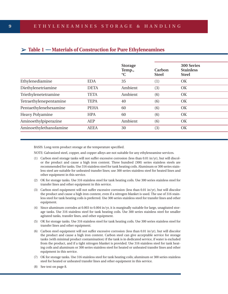| $\triangleright$ Table 1 $\cdots$ Materials of Construction for Pure Ethyleneamines |
|-------------------------------------------------------------------------------------|
|-------------------------------------------------------------------------------------|

|                        |             | <b>Storage</b><br>Temp.,<br>$\rm ^{\circ}C$ | Carbon<br><b>Steel</b> | 300 Series<br><b>Stainless</b><br><b>Steel</b> |  |
|------------------------|-------------|---------------------------------------------|------------------------|------------------------------------------------|--|
| Ethylenediamine        | <b>EDA</b>  | 35                                          | (1)                    | OK                                             |  |
| Diethylenetriamine     | <b>DETA</b> | Ambient                                     | (3)                    | OK                                             |  |
| Triethylenetetramine   | <b>TETA</b> | Ambient                                     | (6)                    | OK                                             |  |
| Tetraethylenepentamine | <b>TEPA</b> | 40                                          | (6)                    | OK                                             |  |
| Pentaethylenehexamine  | <b>PEHA</b> | 60                                          | (6)                    | OK                                             |  |
| Heavy Polyamine        | <b>HPA</b>  | 60                                          | (6)                    | OK                                             |  |
| Aminoethylpiperazine   | <b>AEP</b>  | Ambient                                     | (6)                    | OK                                             |  |
| Aminoethylethanolamine | <b>AEEA</b> | 30                                          | (3)                    | OK                                             |  |
|                        |             |                                             |                        |                                                |  |

BASIS: Long-term product storage at the temperature specified.

NOTE: Galvanized steel, copper, and copper alloys are not suitable for any ethyleneamine services.

- (1) Carbon steel storage tanks will not suffer excessive corrosion (less than 0.01 in/yr), but will discolor the product and cause a high iron content. Three hundred (300) series stainless steels are recommended for tanks. Use 316 stainless steel for tank heating coils. Aluminum or 300 series stainless steel are suitable for unheated transfer lines; use 300 series stainless steel for heated lines and other equipment in this service.
- (2) OK for storage tanks. Use 316 stainless steel for tank heating coils. Use 300 series stainless steel for transfer lines and other equipment in this service.
- (3) Carbon steel equipment will not suffer excessive corrosion (less than 0.01 in/yr), but will discolor the product and cause a high iron content, even if a nitrogen blanket is used. The use of 316 stainless steel for tank heating coils is preferred. Use 300 series stainless steel for transfer lines and other equipment.
- (4) Since aluminum corrodes at 0.003 to 0.004 in/yr, it is marginally suitable for large, unagitated storage tanks. Use 316 stainless steel for tank heating coils. Use 300 series stainless steel for smaller agitated tanks, transfer lines, and other equipment.
- (5) OK for storage tanks. Use 316 stainless steel for tank heating coils. Use 300 series stainless steel for transfer lines and other equipment.
- (6) Carbon steel equipment will not suffer excessive corrosion (less than 0.01 in/yr), but will discolor the product and cause a high iron content. Carbon steel can give acceptable service for storage tanks (with minimal product contamination) if the tank is in dedicated service, if water is excluded from the product, and if a tight nitrogen blanket is provided. Use 316 stainless steel for tank heating coils and aluminum or 300 series stainless steel for heated or unheated transfer lines and other equipment in this service.
- (7) OK for storage tanks. Use 316 stainless steel for tank heating coils; aluminum or 300 series stainless steel for heated or unheated transfer lines and other equipment in this service.
- (8) See text on page 8.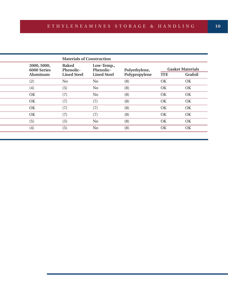| <b>Materials of Construction</b>       |                                                 |                                               |                                |            |                                    |  |
|----------------------------------------|-------------------------------------------------|-----------------------------------------------|--------------------------------|------------|------------------------------------|--|
| 3000, 5000,<br>6000 Series<br>Aluminum | <b>Baked</b><br>Phenolic-<br><b>Lined Steel</b> | Low-Temp.,<br>Phenolic-<br><b>Lined Steel</b> | Polyethylene,<br>Polypropylene | <b>TFE</b> | <b>Gasket Materials</b><br>Grafoil |  |
| (2)                                    | N <sub>0</sub>                                  | No                                            | (8)                            | OK         | OK                                 |  |
| (4)                                    | (5)                                             | No                                            | (8)                            | OK         | OK                                 |  |
| OK                                     | (7)                                             | No                                            | (8)                            | OK         | OK                                 |  |
| OK                                     | (7)                                             | (7)                                           | (8)                            | OK         | OK                                 |  |
| OK                                     | (7)                                             | (7)                                           | (8)                            | OK         | OK                                 |  |
| OK                                     | (7)                                             | (7)                                           | (8)                            | OK         | OK                                 |  |
| (5)                                    | (5)                                             | N <sub>o</sub>                                | (8)                            | OK         | OK                                 |  |
| (4)                                    | (5)                                             | No                                            | (8)                            | OK         | OK                                 |  |
|                                        |                                                 |                                               |                                |            |                                    |  |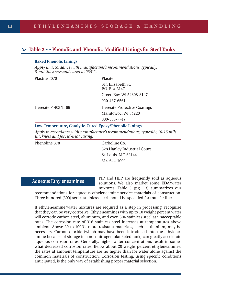# ➢**Table 2 .... Phenolic and Phenolic-Modified Linings for Steel Tanks**

#### **Baked Phenolic Linings**

*Apply in accordance with manufacturer's recommendations; typically, 5-mil thickness and cured at 230°C.*

| Plastite 3070         | Plasite                                                                    |  |
|-----------------------|----------------------------------------------------------------------------|--|
|                       | 614 Elizabeth St.<br>P.O. Box 8147                                         |  |
|                       | Green Bay, WI 54308-8147                                                   |  |
|                       | 920-437-6561                                                               |  |
| Heresite $P-403/L-66$ | <b>Heresite Protective Coatings</b>                                        |  |
|                       | Manitowoc, WI 54220                                                        |  |
|                       | 800-558-7747                                                               |  |
|                       | $\mathbf{r}$ in the control of $\mathbf{r}$ in the control of $\mathbf{r}$ |  |

#### **Low-Temperature, Catalytic-Cured Epoxy/Phenolic Linings**

*Apply in accordance with manufacturer's recommendations; typically, 10-15 mils thickness and forced-heat curing.*

| Phenoline 378 | Carboline Co.               |
|---------------|-----------------------------|
|               | 328 Hanley Industrial Court |
|               | St. Louis, MO 63144         |
|               | 314-644-1000                |
|               |                             |

# **Aqueous Ethyleneamines**

PIP and HEP are frequently sold as aqueous solutions. We also market some EDA/water mixtures. Table 3 (pg. 13) summarizes our

recommendations for aqueous ethyleneamine service materials of construction. Three hundred (300) series stainless steel should be specified for transfer lines.

If ethyleneamine/water mixtures are required as a step in processing, recognize that they can be very corrosive. Ethyleneamines with up to 10 weight percent water will corrode carbon steel, aluminum, and even 304 stainless steel at unacceptable rates. The corrosion rate of 316 stainless steel increases at temperatures above ambient. Above 80 to 100°C, more resistant materials, such as titanium, may be necessary. Carbon dioxide (which may have been introduced into the ethyleneamine because of storage in a non-nitrogen blanketed tank) can greatly accelerate aqueous corrosion rates. Generally, higher water concentrations result in somewhat decreased corrosion rates. Below about 20 weight percent ethyleneamines, the rates at ambient temperature are no higher than for water alone against the common materials of construction. Corrosion testing, using specific conditions anticipated, is the only way of establishing proper material selection.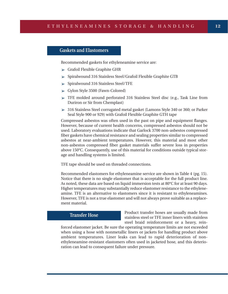## **Gaskets and Elastomers**

Recommended gaskets for ethyleneamine service are:

- $\triangleright$  Grafoil Flexible Graphite GHR
- ➢ Spiralwound 316 Stainless Steel/Grafoil Flexible Graphite GTB
- ➢ Spiralwound 316 Stainless Steel/TFE
- ➢ Gylon Style 3500 (Fawn-Colored)
- ➢ TFE molded around perforated 316 Stainless Steel disc (e.g., Task Line from Duriron or Sir from Chemplast)
- $>$  316 Stainless Steel corrugated metal gasket (Lamons Style 340 or 360; or Parker Seal Style 900 or 929) with Grafoil Flexible Graphite GTH tape

Compressed asbestos was often used in the past on pipe and equipment flanges. However, because of current health concerns, compressed asbestos should not be used. Laboratory evaluations indicate that Garlock 3700 non-asbestos compressed fiber gaskets have chemical resistance and sealing properties similar to compressed asbestos at near-ambient temperatures. However, this material and most other non-asbestos compressed fiber gasket materials suffer severe loss in properties above 150°C. Consequently, use of this material for conditions outside typical storage and handling systems is limited.

TFE tape should be used on threaded connections.

Recommended elastomers for ethyleneamine service are shown in Table 4 (pg. 15). Notice that there is no single elastomer that is acceptable for the full product line. As noted, these data are based on liquid immersion tests at 80°C for at least 90 days. Higher temperatures may substantially reduce elastomer resistance to the ethyleneamine. TFE is an alternative to elastomers since it is resistant to ethyleneamines. However, TFE is not a true elastomer and will not always prove suitable as a replacement material.

#### **Transfer Hose**

Product transfer hoses are usually made from stainless steel or TFE inner liners with stainless steel braid reinforcement or a heavy, rein-

forced elastomer jacket. Be sure the operating temperature limits are not exceeded when using a hose with nonmetallic liners or jackets for handling product above ambient temperatures. Liner leaks can lead to rapid deterioration of nonethyleneamine-resistant elastomers often used in jacketed hose, and this deterioration can lead to consequent failure under pressure.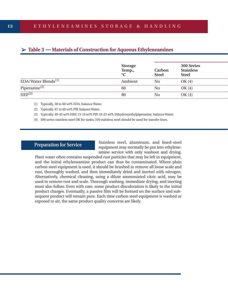|                                 | <b>Storage</b><br>Temp.,<br>$\rm ^{\circ}C$ | Carbon<br><b>Steel</b> | 300 Series<br><b>Stainless</b><br><b>Steel</b> |
|---------------------------------|---------------------------------------------|------------------------|------------------------------------------------|
| EDA/Water Blends <sup>(1)</sup> | Ambient                                     | N <sub>0</sub>         | OK(4)                                          |
| Piperazine $^{(2)}$             | 60                                          | N <sub>0</sub>         | OK(4)                                          |
| HEP <sup>(3)</sup>              | 80                                          | No                     | OK(4)                                          |

# ➢**Table 3 .... Materials of Construction for Aqueous Ethyleneamines**

- (1) Typically, 30 to 60 wt% EDA, balance Water.
- (2) Typically, 67 to 69 wt% PIP, balance Water.
- (3) Typically, 40-45 wt% HEP, 13-19 wt% PIP, 18-23 wt% Dihydroxyethylpiperazine, balance Water.
- (4) 300 series stainless steel OK for tanks; 316 stainless steel should be used for transfer lines.

#### **Preparation for Service**

Stainless steel, aluminum, and lined-steel equipment may normally be put into ethyleneamine service with only washout and drying.

Plant water often contains suspended rust particles that may be left in equipment, and the initial ethyleneamine product can thus be contaminated. Where plain carbon steel equipment is used, it should be brushed to remove all loose scale and rust, thoroughly washed, and then immediately dried and inerted with nitrogen. Alternatively, chemical cleaning, using a dilute ammoniated citric acid, may be used to remove rust and scale. Thorough washing, immediate drying, and inerting must also follow. Even with care, some product discoloration is likely to the initial product charges. Eventually, a passive film will be formed on the surface and subsequent product will remain pure. Each time carbon steel equipment is washed or exposed to air, the same product quality concerns are likely.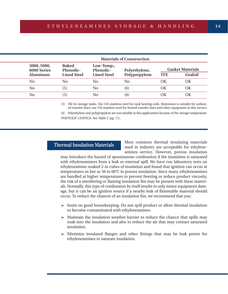| <b>Materials of Construction</b>                                                   |                    |                    |               |                         |                |  |
|------------------------------------------------------------------------------------|--------------------|--------------------|---------------|-------------------------|----------------|--|
| <b>Baked</b><br>3000, 5000,<br>Low-Temp.,<br>Phenolic-<br>Phenolic-<br>6000 Series |                    | Polyethylene,      |               | <b>Gasket Materials</b> |                |  |
| Aluminum                                                                           | <b>Lined Steel</b> | <b>Lined Steel</b> | Polypropylene | <b>TFE</b>              | <b>Grafoil</b> |  |
| No                                                                                 | N <sub>0</sub>     | No.                | No            | OК                      | ОK             |  |
| No                                                                                 | (5)                | No                 | (6)           | ΟK                      | ΟK             |  |
| No                                                                                 | (5)                | No                 | (6)           | OК                      | ОK             |  |

(5) OK for storage tanks. Use 316 stainless steel for tank heating coils. Aluminum is suitable for unheated transfer lines; use 316 stainless steel for heated transfer lines and other equipment in this service.

(6) Polyethylene and polypropylene are not suitable in this applications because of the storage temperature. PHENOLIC LININGS: See Table 2 (pg. 11).

#### **Thermal Insulation Materials**

Most common thermal insulating materials used in industry are acceptable for ethyleneamines service. However, porous insulation

may introduce the hazard of spontaneous combustion if the insulation is saturated with ethyleneamines from a leak or external spill. We have run laboratory tests on ethyleneamine-soaked 2-in cubes of insulation and found that ignition can occur at temperatures as low as 50 to 60°C in porous insulation. Since many ethyleneamines are handled at higher temperatures to prevent freezing or reduce product viscosity, the risk of a smoldering or flaming insulation fire may be present with these materials. Normally, this type of combustion by itself results in only minor equipment damage, but it can be an ignition source if a nearby leak of flammable material should occur. To reduce the chances of an insulation fire, we recommend that you:

- $\geq$  Insist on good housekeeping. Do not spill product or allow thermal insulation to become contaminated with ethyleneamines.
- $\triangleright$  Maintain the insulation weather barrier to reduce the chance that spills may soak into the insulation and also to reduce the air that may contact saturated insulation.
- $\triangleright$  Minimize insulated flanges and other fittings that may be leak points for ethyleneamines to saturate insulation.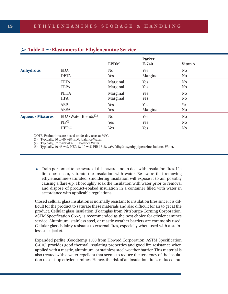|                         |                                 | <b>EPDM</b>    | Parker<br>E-740 | Viton A        |  |
|-------------------------|---------------------------------|----------------|-----------------|----------------|--|
| <b>Anhydrous</b>        | <b>EDA</b>                      | N <sub>0</sub> | Yes             | N <sub>0</sub> |  |
|                         | <b>DETA</b>                     | Yes            | Marginal        | No             |  |
|                         | <b>TETA</b>                     | Marginal       | Yes             | N <sub>0</sub> |  |
|                         | <b>TEPA</b>                     | Marginal       | Yes             | No             |  |
|                         | <b>PEHA</b>                     | Marginal       | Yes             | No             |  |
|                         | <b>HPA</b>                      | Marginal       | Yes             | No             |  |
|                         | <b>AEP</b>                      | Yes            | Yes             | Yes            |  |
|                         | <b>AEEA</b>                     | Yes            | Marginal        | No             |  |
| <b>Aqueous Mixtures</b> | EDA/Water Blends <sup>(1)</sup> | N <sub>0</sub> | Yes             | N <sub>0</sub> |  |
|                         | PIP(2)                          | Yes            | Yes             | N <sub>0</sub> |  |
|                         | HEP(3)                          | Yes            | Yes             | N <sub>0</sub> |  |

#### ➢**Table 4 .... Elastomers for Ethyleneamine Service**

NOTE: Evaluations are based on 90-day tests at 80°C.

(1) Typically, 30 to 60 wt% EDA, balance Water.

(2) Typically, 67 to 69 wt% PIP, balance Water.

(3) Typically, 40-45 wt% HEP, 13-19 wt% PIP, 18-23 wt% Dihydroxyethylpiperazine, balance Water.

 $\triangleright$  Train personnel to be aware of this hazard and to deal with insulation fires. If a fire does occur, saturate the insulation with water. Be aware that removing ethyleneamine-saturated, smoldering insulation will expose it to air, possibly causing a flare-up. Thoroughly soak the insulation with water prior to removal and dispose of product-soaked insulation in a container filled with water in accordance with applicable regulations.

Closed cellular glass insulation is normally resistant to insulation fires since it is difficult for the product to saturate these materials and also difficult for air to get at the product. Cellular glass insulation (Foamglas from Pittsburgh-Corning Corporation, ASTM Specification C552) is recommended as the best choice for ethyleneamines service. Aluminum, stainless steel, or mastic weather barriers are commonly used. Cellular glass is fairly resistant to external fires, especially when used with a stainless steel jacket.

Expanded perlite (Goodtemp 1500 from Howred Corporation, ASTM Specification C-610) provides good thermal insulating properties and good fire resistance when applied with a mastic, aluminum, or stainless steel weather barrier. This material is also treated with a water repellent that seems to reduce the tendency of the insulation to soak up ethyleneamines. Hence, the risk of an insulation fire is reduced, but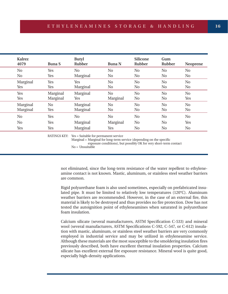| <b>Kalrez</b><br>4079 | <b>Buna S</b>  | <b>Butyl</b><br>Rubber | <b>Buna N</b>  | <b>Silicone</b><br>Rubber | Gum<br>Rubber  | <b>Neoprene</b> |
|-----------------------|----------------|------------------------|----------------|---------------------------|----------------|-----------------|
| N <sub>0</sub>        | Yes            | N <sub>0</sub>         | N <sub>0</sub> | N <sub>o</sub>            | N <sub>0</sub> | N <sub>0</sub>  |
| N <sub>0</sub>        | Yes            | Marginal               | N <sub>0</sub> | N <sub>0</sub>            | No             | N <sub>0</sub>  |
| Marginal              | Yes            | Yes                    | N <sub>0</sub> | N <sub>o</sub>            | N <sub>0</sub> | N <sub>o</sub>  |
| Yes                   | Yes            | Marginal               | N <sub>0</sub> | N <sub>0</sub>            | N <sub>0</sub> | N <sub>0</sub>  |
| Yes                   | Marginal       | Marginal               | N <sub>0</sub> | No                        | N <sub>0</sub> | N <sub>o</sub>  |
| Yes                   | Marginal       | Yes                    | Marginal       | N <sub>0</sub>            | N <sub>0</sub> | Yes             |
| Marginal              | N <sub>0</sub> | Marginal               | N <sub>o</sub> | No                        | N <sub>0</sub> | N <sub>0</sub>  |
| Marginal              | Yes            | Marginal               | No.            | N <sub>0</sub>            | N <sub>o</sub> | N <sub>0</sub>  |
| N <sub>0</sub>        | Yes            | N <sub>0</sub>         | N <sub>o</sub> | No                        | N <sub>0</sub> | N <sub>o</sub>  |
| N <sub>o</sub>        | Yes            | Marginal               | Marginal       | N <sub>0</sub>            | N <sub>0</sub> | Yes             |
| Yes                   | Yes            | Marginal               | Yes            | N <sub>o</sub>            | N <sub>0</sub> | No              |

RATINGS KEY: Yes = Suitable for permanent service

Marginal = Marginal for long-term service (depending on the specific

exposure conditions), but possibly OK for very short-term contact

No = Unsuitable

not eliminated, since the long-term resistance of the water repellent to ethyleneamine contact is not known. Mastic, aluminum, or stainless steel weather barriers are common.

Rigid polyurethane foam is also used sometimes, especially on prefabricated insulated pipe. It must be limited to relatively low temperatures (120°C). Aluminum weather barriers are recommended. However, in the case of an external fire, this material is likely to be destroyed and thus provides no fire protection. Dow has not tested the autoignition point of ethyleneamines when saturated in polyurethane foam insulation.

Calcium silicate (several manufacturers, ASTM Specification C-533) and mineral wool (several manufacturers, ASTM Specifications C-592, C-547, or C-612) insulation with mastic, aluminum, or stainless steel weather barriers are very commonly employed in industrial service and may be utilized in ethyleneamine service. Although these materials are the most susceptible to the smoldering insulation fires previously described, both have excellent thermal insulation properties. Calcium silicate has excellent external fire exposure resistance. Mineral wool is quite good, especially high-density applications.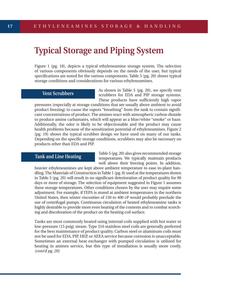# **Typical Storage and Piping System**

Figure 1 (pg. 18), depicts a typical ethyleneamine storage system. The selection of various components obviously depends on the needs of the user, but typical specifications are noted for the various components. Table 5 (pg. 20) shows typical storage conditions and considerations for various ethyleneamines.

#### **Vent Scrubbers**

As shown in Table 5 (pg. 20), we specify vent scrubbers for EDA and PIP storage systems. These products have sufficiently high vapor

pressures (especially at storage conditions that are usually above ambient to avoid product freezing) to cause the vapors "breathing" from the tank to contain significant concentrations of product. The amines react with atmospheric carbon dioxide to produce amine carbamates, which will appear as a blue/white "smoke" or haze. Additionally, the odor is likely to be objectionable and the product may cause health problems because of the sensitization potential of ethyleneamines. Figure 2 (pg. 19) shows the typical scrubber design we have used on many of our tanks. Depending on the specific storage conditions, scrubbers may also be necessary on products other than EDA and PIP.

## **Tank and Line Heating**

Table 5 (pg. 20) also gives recommended storage temperatures. We typically maintain products well above their freezing points. In addition,

heavier ethyleneamines are kept above ambient temperature to ease in-plant handling. The Materials of Construction in Table 1 (pg. 8) used at the temperatures shown in Table 5 (pg. 20) will result in no significant deterioration of product quality for 90 days or more of storage. The selection of equipment suggested in Figure 1 assumes these storage temperatures. Other conditions chosen by the user may require some adjustment. For example, if TEPA is stored at ambient temperatures in the northern United States, then winter viscosities of 150 to 400 cP would probably preclude the use of centrifugal pumps. Continuous circulation of heated ethyleneamine tanks is highly desirable to provide more even heating of the contents and to combat scorching and discoloration of the product on the heating coil surface.

Tanks are most commonly heated using internal coils supplied with hot water or low-pressure (15 psig) steam. Type 316 stainless steel coils are generally preferred for the best maintenance of product quality. Carbon steel or aluminum coils must not be used for EDA, PIP, HEP, or AEEA service because corrosion is unacceptable. Sometimes an external heat exchanger with pumped circulation is utilized for heating in amines service, but this type of installation is usually more costly. *(cont'd pg. 20)*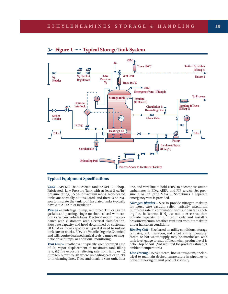#### ➢**Figure 1 ..... Typical Storage Tank System**



#### **Typical Equipment Specifications**

*Tank –* API 650 Field-Erected Tank or API 12F Shop-Fabricated, Low-Pressure Tank with at least 3 oz/in2 pressure rating, 0.5 oz/in2 vacuum rating. Non-heated tanks are normally not insulated, and there is no reason to insulate the tank roof. Insulated tanks typically have 2 to 2-1/2 in of insulation.

*Pumps –* Centrifugal pump, reinforced TFE or Grafoil gaskets and packing, single mechanical seal with carbon vs. silicon carbide faces. Electrical motor in accordance with customer's area electrical classification. Flow rate capacity and head determined by customer. 50 GPM or more capacity is typical if used to unload tank cars or trucks. EDA is a Volatile Organic Chemical and will require dual mechanical seals, canned or magnetic drive pumps, or additional monitoring.

*Vent Unit –* Breather vent typically sized for worst case of: (a) vapor displacement at maximum tank filling rate, (b) fire exposure relieving rate from tank, or (c) nitrogen blowthrough where unloading cars or trucks or in cleaning lines. Trace and insulate vent unit, inlet

line, and vent line to hold 160°C to decompose amine carbamates in EDA, AEEA, and PIP service. Set pressure 3 oz/in2 (tank MAWP). Sometimes a separate emergency vent is provided.

*Nitrogen Blanket –* Size to provide nitrogen makeup for worst case vacuum relief: typically, maximum pump-out rate in combination with sudden tank cooling (i.e., hailstorm). If  $N_2$  use rate is excessive, then provide capacity for pump-out only and install a pressure/vacuum breather vent unit with air makeup under hailstorm conditions.

*Heating Coil –* Size based on utility conditions, storage tank size, tank insulation, and target tank temperature. Steam or hot water supply may be interlocked with tank level gauge to shut off heat when product level is below top of coil. (Not required for products stored at ambient temperature.)

*Line Tracing –* 15 psig steam, hot water system, or electrical to maintain desired temperature in pipelines to prevent freezing or limit product viscosity.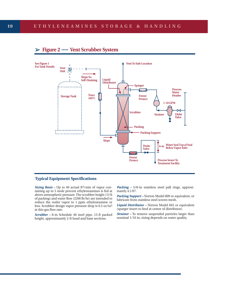



#### **Typical Equipment Specifications**

*Sizing Basis – Up to 40 actual ft<sup>3</sup>/min of vapor con*taining up to 5 mole percent ethyleneamines is fed at above atmospheric pressure. The scrubber height (13 ft of packing) and water flow (2200 lb/hr) are intended to reduce the outlet vapor to 1 ppm ethyleneamine or less. Scrubber design vapor pressure drop is 0.5 oz/in2 at this gas flow rate.

*Scrubber –* 8-in Schedule 40 steel pipe, 13-ft packed height, approximately 2-ft head and base sections.

*Packing – 5/8-in stainless steel pall rings, approxi*mately 4.5 ft<sup>3</sup>.

*Packing Support –* Norton Model 809 or equivalent, or fabricate from stainless steel screen mesh.

*Liquid Distributor –* Norton Model 845 or equivalent (sparger insert to feed at center of distributor).

*Strainer –* To remove suspended particles larger than nominal 1/16 in, sizing depends on water quality.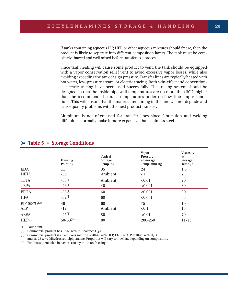If tanks containing aqueous PIP, HEP, or other aqueous mixtures should freeze, then the product is likely to separate into different composition layers. The tank must be completely thawed and well mixed before transfer to a process.

Since tank heating will cause some product to vent, the tank should be equipped with a vapor conservation relief vent to avoid excessive vapor losses, while also avoiding exceeding the tank design pressure. Transfer lines are typically heated with hot water, low-pressure steam, or electric tracing. Both skin-effect and conventional electric tracing have been used successfully. The tracing system should be designed so that the inside pipe wall temperatures are no more than 30°C higher than the recommended storage temperatures under no-flow, line-empty conditions. This will ensure that the material remaining in the line will not degrade and cause quality problems with the next product transfer.

Aluminum is not often used for transfer lines since fabrication and welding difficulties normally make it more expensive than stainless steel.

|                    | Freezing<br>Point, °C | <b>Typical</b><br><b>Storage</b><br>Temp., °C | Vapor<br>Pressure<br>at Storage<br>Temp., mm Hg | <b>Viscosity</b><br>at<br><b>Storage</b><br>Temp., cP |
|--------------------|-----------------------|-----------------------------------------------|-------------------------------------------------|-------------------------------------------------------|
| <b>EDA</b>         | 11                    | 35                                            | 24                                              | 1.3                                                   |
| <b>DETA</b>        | $-39$                 | Ambient                                       | <1                                              | 7                                                     |
| <b>TETA</b>        | $-35^{(2)}$           | Ambient                                       | < 0.01                                          | 26                                                    |
| <b>TEPA</b>        | $-46^{(1)}$           | 40                                            | < 0.001                                         | 30                                                    |
| <b>PEHA</b>        | $-29^{(1)}$           | 60                                            | < 0.001                                         | 20                                                    |
| <b>HPA</b>         | $-32^{(1)}$           | 60                                            | < 0.001                                         | 35                                                    |
| PIP $(68\%)^{(2)}$ | 48                    | 60                                            | 75                                              | 10                                                    |
| <b>AEP</b>         | $-17$                 | Ambient                                       | < 0.1                                           | 15                                                    |
| <b>AEEA</b>        | $-45^{(1)}$           | 30                                            | < 0.01                                          | 70                                                    |
| HEP <sup>(3)</sup> | $50 - 60^{(4)}$       | 80                                            | 200-250                                         | 11-13                                                 |

#### ➢**Table 5 .... Storage Conditions**

(1) Pour point.

(2) Commercial product has  $67-69$  wt% PIP, balance H<sub>2</sub>O.

(3) Commercial product is an aqueous solution of 40-45 wt% HEP, 13-19 wt% PIP, 18-25 wt% H2O,

and 18-23 wt% Dihydroxyethylpiperazine. Properties will vary somewhat, depending on composition.

(4) Exhibits supercooled behavior; can layer-out on freezing.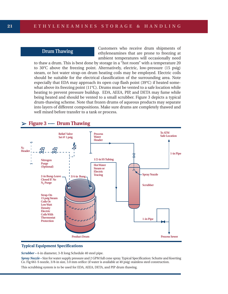## **Drum Thawing**

Customers who receive drum shipments of ethyleneamines that are prone to freezing at ambient temperatures will occasionally need

to thaw a drum. This is best done by storage in a "hot room" with a temperature 20 to 30°C above the freezing point. Alternatively, electric, low-pressure (15 psig) steam, or hot water strap-on drum heating coils may be employed. Electric coils should be suitable for the electrical classification of the surrounding area. Note especially that EDA may approach its open cup flash point (39°C) if heated somewhat above its freezing point (11°C). Drums must be vented to a safe location while heating to prevent pressure buildup. EDA, AEEA, PIP, and DETA may fume while being heated and should be vented to a small scrubber. Figure 3 depicts a typical drum-thawing scheme. Note that frozen drums of aqueous products may separate into layers of different compositions. Make sure drums are completely thawed and well mixed before transfer to a tank or process.





#### **Typical Equipment Specifications**

*Scrubber –* 4-in diameter, 3-ft long Schedule 40 steel pipe.

*Spray Nozzle –* Size for water supply pressure and 2 GPM full cone spray. Typical Specification: Schutte and Koerting Co. Fig 661-S nozzle, 3/8-in size, 3.0 mm orifice (if water is available at 40 psig) stainless steel construction.

This scrubbing system is to be used for EDA, AEEA, DETA, and PIP drum thawing.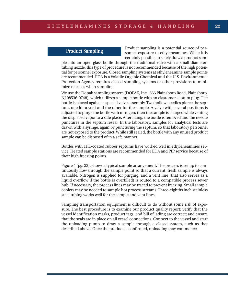## **Product Sampling**

Product sampling is a potential source of personnel exposure to ethyleneamines. While it is certainly possible to safely draw a product sam-

ple into an open glass bottle through the traditional valve with a small-diametertubing nozzle, this type of procedure is not recommended because of the high potential for personnel exposure. Closed sampling systems at ethyleneamine sample points are recommended. EDA is a Volatile Organic Chemical and the U.S. Environmental Protection Agency requires closed sampling systems or other provisions to minimize releases when sampling.

We use the Dopak sampling system (DOPAK, Inc., 666 Plainsboro Road, Plainsboro, NJ 08536-0748), which utilizes a sample bottle with an elastomer septum plug. The bottle is placed against a special valve assembly. Two hollow needles pierce the septum, one for a vent and the other for the sample. A valve with several positions is adjusted to purge the bottle with nitrogen; then the sample is charged while venting the displaced vapor to a safe place. After filling, the bottle is removed and the needle punctures in the septum reseal. In the laboratory, samples for analytical tests are drawn with a syringe, again by puncturing the septum, so that laboratory personnel are not exposed to the product. While still sealed, the bottle with any unused product sample can be disposed of in a safe manner.

Bottles with TFE-coated rubber septums have worked well in ethyleneamines service. Heated sample stations are recommended for EDA and PIP service because of their high freezing points.

Figure 4 (pg. 23), shows a typical sample arrangement. The process is set up to continuously flow through the sample point so that a current, fresh sample is always available. Nitrogen is supplied for purging, and a vent line (that also serves as a liquid overflow if the bottle is overfilled) is routed to a compatible process sewer hub. If necessary, the process lines may be traced to prevent freezing. Small sample coolers may be needed to sample hot process streams. Three-eighths inch stainless steel tubing works well for the sample and vent lines.

Sampling transportation equipment is difficult to do without some risk of exposure. The best procedure is to examine our product quality report; verify that the vessel identification marks, product tags, and bill of lading are correct; and ensure that the seals are in place on all vessel connections. Connect to the vessel and start the unloading pump to draw a sample through a closed system, such as that described above. Once the product is confirmed, unloading may commence.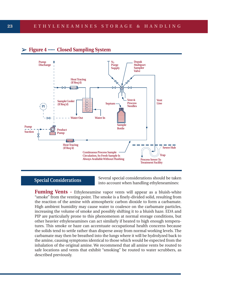

# ➢**Figure 4 ..... Closed Sampling System**

# **Special Considerations**

Several special considerations should be taken into account when handling ethyleneamines:

**Fuming Vents -** Ethyleneamine vapor vents will appear as a bluish-white "smoke" from the venting point. The smoke is a finely-divided solid, resulting from the reaction of the amine with atmospheric carbon dioxide to form a carbamate. High ambient humidity may cause water to coalesce on the carbamate particles, increasing the volume of smoke and possibly shifting it to a bluish haze. EDA and PIP are particularly prone to this phenomenon at normal storage conditions, but other heavier ethyleneamines can act similarly if heated to high enough temperatures. This smoke or haze can accentuate occupational health concerns because the solids tend to settle rather than disperse away from normal working levels. The carbamate may then be breathed into the lungs where it will be hydrolyzed back to the amine, causing symptoms identical to those which would be expected from the inhalation of the original amine. We recommend that all amine vents be routed to safe locations and vents that exhibit "smoking" be routed to water scrubbers, as described previously.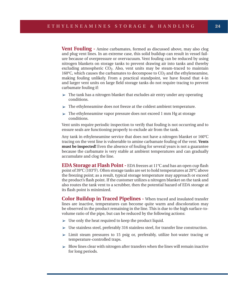**Vent Fouling -** Amine carbamates, formed as discussed above, may also clog and plug vent lines. In an extreme case, this solid buildup can result in vessel failure because of overpressure or overvacuum. Vent fouling can be reduced by using nitrogen blankets on storage tanks to prevent drawing air into tanks and thereby excluding atmospheric CO<sub>2</sub>. Also, vent units may be steam-traced to maintain 160°C, which causes the carbamates to decompose to CO2 and the ethyleneamine, making fouling unlikely. From a practical standpoint, we have found that 4-in and larger vent units on large field storage tanks do not require tracing to prevent carbamate fouling if:

- $\triangleright$  The tank has a nitrogen blanket that excludes air entry under any operating conditions.
- $\triangleright$  The ethyleneamine does not freeze at the coldest ambient temperature.
- $\triangleright$  The ethyleneamine vapor pressure does not exceed 1 mm Hg at storage conditions.

Vent units require periodic inspection to verify that fouling is not occurring and to ensure seals are functioning properly to exclude air from the tank.

Any tank in ethyleneamine service that does not have a nitrogen blanket or 160°C tracing on the vent line is vulnerable to amine carbamate fouling of the vent. **Vents must be inspected!** Even the absence of fouling for several years is not a guarantee because the carbamate is very stable at ambient temperatures and can gradually accumulate and clog the line.

**EDA Storage at Flash Point -** EDA freezes at 11<sup>°</sup>C and has an open cup flash point of 39°C (103°F). Often storage tanks are set to hold temperatures at 20°C above the freezing point; as a result, typical storage temperature may approach or exceed the product's flash point. If the customer utilizes a nitrogen blanket on the tank and also routes the tank vent to a scrubber, then the potential hazard of EDA storage at its flash point is minimized.

**Color Buildup in Traced Pipelines -** When traced and insulated transfer lines are inactive, temperatures can become quite warm and discoloration may be observed in the product remaining in the line. This is due to the high surface-tovolume ratio of the pipe, but can be reduced by the following actions:

- $>$  Use only the heat required to keep the product liquid.
- $\triangleright$  Use stainless steel, preferably 316 stainless steel, for transfer line construction.
- $\geq$  Limit steam pressures to 15 psig or, preferably, utilize hot-water tracing or temperature-controlled traps.
- $\triangleright$  Blow lines clear with nitrogen after transfers when the lines will remain inactive for long periods.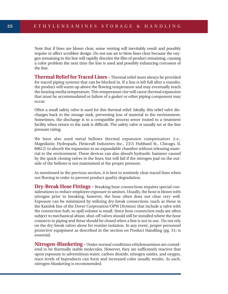Note that if lines are blown clear, some venting will inevitably result and possibly require or affect scrubber design. Do not use air to blow lines clear because the oxygen remaining in the line will rapidly discolor the film of product remaining, causing a color problem the next time the line is used and possibly enhancing corrosion of the line.

**Thermal Relief for Traced Lines -** Thermal relief must always be provided for traced piping systems that can be blocked in. If a line is left full after a transfer, the product will warm up above the flowing temperature and may eventually reach the heating media temperature. This temperature rise will cause thermal expansion that must be accommodated or failure of a gasket or other piping component may occur.

Often a small safety valve is used for this thermal relief. Ideally, this relief valve discharges back to the storage tank, preventing loss of material to the environment. Sometimes, the discharge is to a compatible process sewer routed to a treatment facility when return to the tank is difficult. The safety valve is usually set at the line pressure rating.

We have also used metal bellows thermal expansion compensators (i.e., Magnilastic Hydropads, Flexicraft Industries Inc., 2315 Hubbard St., Chicago, IL 60612) to absorb the expansion in an expandable chamber without releasing material to the environment. These devices can also absorb hydraulic hammer caused by the quick-closing valves in the lines, but will fail if the nitrogen pad on the outside of the bellows is not maintained at the proper pressure.

As mentioned in the previous section, it is best to routinely clear traced lines when not flowing in order to prevent product quality degradation.

**Dry-Break Hose Fittings -** Breaking hose connections requires special considerations to reduce employee exposure to amines. Usually, the hose is blown with nitrogen prior to breaking; however, the hose often does not clear very well. Exposure can be minimized by utilizing dry-break connections (such as those in the Kamlok line of the Dover Corporation/OPW Division) that include a valve with the connection hub, so spill volume is small. Since hose connection ends are often subject to mechanical abuse, shut-off valves should still be installed where the hose connects to piping and these should be closed when a line is not in use. Do not rely on the dry-break valves alone for routine isolation. In any event, proper personnel protective equipment as described in the section on Product Handling (pg. 31) is essential.

**Nitrogen-Blanketing -** Under normal conditions ethyleneamines are considered to be thermally stable molecules. However, they are sufficiently reactive that upon exposure to adventitious water, carbon dioxide, nitrogen oxides, and oxygen, trace levels of byproducts can form and increased color usually results. As such, nitrogen-blanketing is recommended.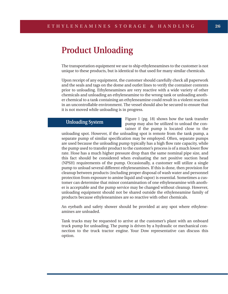# **Product Unloading**

The transportation equipment we use to ship ethyleneamines to the customer is not unique to these products, but is identical to that used for many similar chemicals.

Upon receipt of any equipment, the customer should carefully check all paperwork and the seals and tags on the dome and outlet lines to verify the container contents prior to unloading. Ethyleneamines are very reactive with a wide variety of other chemicals and unloading an ethyleneamine to the wrong tank or unloading another chemical to a tank containing an ethyleneamine could result in a violent reaction in an uncontrollable environment. The vessel should also be secured to ensure that it is not moved while unloading is in progress.

# **Unloading System**

Figure 1 (pg. 18) shows how the tank transfer pump may also be utilized to unload the container if the pump is located close to the

unloading spot. However, if the unloading spot is remote from the tank pump, a separate pump of similar specification may be employed. Often, separate pumps are used because the unloading pump typically has a high flow rate capacity, while the pump used to transfer product to the customer's process is of a much lower flow rate. Hose has a much higher pressure drop than the same nominal pipe size, and this fact should be considered when evaluating the net positive suction head (NPSH) requirements of the pump. Occasionally, a customer will utilize a single pump to unload several different ethyleneamines. If this is done, then provision for cleanup between products (including proper disposal of wash water and personnel protection from exposure to amine liquid and vapor) is essential. Sometimes a customer can determine that minor contamination of one ethyleneamine with another is acceptable and the pump service may be changed without cleanup. However, unloading equipment should not be shared outside the ethyleneamine family of products because ethyleneamines are so reactive with other chemicals.

An eyebath and safety shower should be provided at any spot where ethyleneamines are unloaded.

Tank trucks may be requested to arrive at the customer's plant with an onboard truck pump for unloading. The pump is driven by a hydraulic or mechanical connection to the truck tractor engine. Your Dow representative can discuss this option.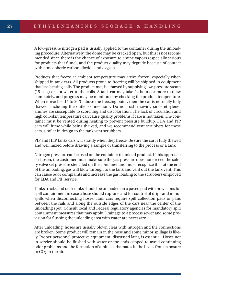A low-pressure nitrogen pad is usually applied to the container during the unloading procedure. Alternatively, the dome may be cracked open, but this is not recommended since there is the chance of exposure to amine vapors (especially serious for products that fume), and the product quality may degrade because of contact with atmospheric carbon dioxide and oxygen.

Products that freeze at ambient temperature may arrive frozen, especially when shipped in tank cars. All products prone to freezing will be shipped in equipment that has heating coils. The product may be thawed by supplying low-pressure steam (15 psig) or hot water to the coils. A tank car may take 24 hours or more to thaw completely, and progress may be monitored by checking the product temperature. When it reaches 15 to 20°C above the freezing point, then the car is normally fully thawed, including the outlet connections. Do not rush thawing since ethyleneamines are susceptible to scorching and discoloration. The lack of circulation and high coil-skin temperature can cause quality problems if care is not taken. The container must be vented during heating to prevent pressure buildup. EDA and PIP cars will fume while being thawed, and we recommend vent scrubbers for these cars, similar in design to the tank vent scrubbers.

PIP and HEP tanks cars will stratify when they freeze. Be sure the car is fully thawed and well mixed before drawing a sample or transferring to the process or a tank.

Nitrogen pressure can be used on the container to unload product. If this approach is chosen, the customer must make sure the gas pressure does not exceed the safety valve set pressure stenciled on the container and must recognize that at the end of the unloading, gas will blow through to the tank and vent out the tank vent. This can cause odor complaints and increase the gas loading to the scrubbers employed for EDA and PIP service.

Tanks trucks and deck tanks should be unloaded on a paved pad with provisions for spill containment in case a hose should rupture, and for control of drips and minor spills when disconnecting hoses. Tank cars require spill collection pads or pans between the rails and along the outside edges of the cars near the center of the unloading spot. Consult local and Federal regulatory agencies for mandatory spill containment measures that may apply. Drainage to a process sewer and some provision for flushing the unloading area with water are necessary.

After unloading, hoses are usually blown clear with nitrogen and the connections are broken. Some product will remain in the hose and some minor spillage is likely. Proper personnel protective equipment, discussed later, is essential. Hoses not in service should be flushed with water or the ends capped to avoid continuing odor problems and the formation of amine carbamates in the hoses from exposure to  $CO<sub>2</sub>$  in the air.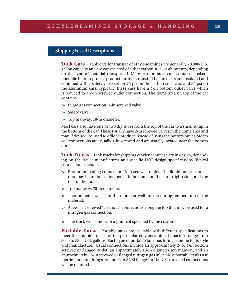# **Shipping Vessel Descriptions**

**Tank Cars -** Tank cars for transfer of ethyleneamines are generally 20,000-U.S. gallon capacity and are constructed of either carbon steel or aluminum, depending on the type of material transported. Many carbon steel cars contain a bakedphenolic liner to protect product purity in transit. The tank cars are insulated and equipped with a safety valve set for 75 psi on the carbon steel cars and 35 psi on the aluminum cars. Typically, these cars have a 4-in bottom outlet valve which is reduced to a 2-in screwed outlet connection. The dome area on top of the car contains:

- $\triangleright$  Purge gas connection: 1-in screwed valve.
- $\triangleright$  Safety valve.
- $\triangleright$  Top manway: 18-in diameter.

Most cars also have one or two dip tubes from the top of the car to a small sump in the bottom of the car. These usually have 2-in screwed valves in the dome area and may, if desired, be used to offload product instead of using the bottom outlet. Steam coil connections are usually 1-in screwed and are usually located near the bottom outlet.

**Tank Trucks -** Tank trucks for shipping ethyleneamines vary in design, depending on the trailer manufacturer and specific DOT design specifications. Typical connections include:

- ➢ Bottom unloading connection: 3-in screwed outlet. The liquid outlet connection may be in the center, beneath the dome on the curb (right) side or at the rear of the trailer.
- $\triangleright$  Top manway: 20-in diameter.
- ➢ Thermometer well: 1-in thermometer well for measuring temperature of the material.
- $\triangleright$  A few 3-in screwed "cleanout" connections along the top that may be used for a nitrogen gas connection.
- $\triangleright$  The truck will come with a pump, if specified by the customer.

**Portable Tanks -** Portable tanks are available with different specifications to meet the shipping needs of the particular ethyleneamine. Capacities range from 5000 to 5300 U.S. gallons. Each type of portable tank has fittings unique to its style and manufacturer. Usual connections include an approximately 2- to 4-in bottom screwed or flanged outlet, an approximately 18-in diameter top manway, and an approximately 1.5-in screwed or flanged nitrogen gas inlet. Most portable tanks use metric standard fittings. Adapters to ANSI flanges or US NPT threaded connections will be required.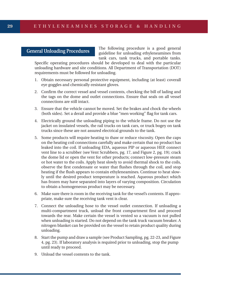## **General Unloading Procedures**

The following procedure is a good general guideline for unloading ethyleneamines from tank cars, tank trucks, and portable tanks.

Specific operating procedures should be developed to deal with the particular unloading hardware and site conditions. All Department of Transportation (DOT) requirements must be followed for unloading.

- 1. Obtain necessary personal protective equipment, including (at least) coverall eye goggles and chemically-resistant gloves.
- 2. Confirm the correct vessel and vessel contents, checking the bill of lading and the tags on the dome and outlet connections. Ensure that seals on all vessel connections are still intact.
- 3. Ensure that the vehicle cannot be moved. Set the brakes and chock the wheels (both sides). Set a derail and provide a blue "men working" flag for tank cars.
- 4. Electrically ground the unloading piping to the vehicle frame. Do not use the jacket on insulated vessels, the rail trucks on tank cars, or truck bogey on tank trucks since these are not assured electrical grounds to the tank.
- 5. Some products will require heating to thaw or reduce viscosity. Open the caps on the heating coil connections carefully and make certain that no product has leaked into the coil. If unloading EDA, aqueous PIP or aqueous HEP, connect vent line to a scrubber (see Vent Scrubbers, pg. 17, and Figure 2, pg. 19); crack the dome lid or open the vent for other products; connect low-pressure steam or hot water to the coils. Apply heat slowly to avoid thermal shock to the coils, observe the first condensate or water that flushes through the coil, and stop heating if the flush appears to contain ethyleneamines. Continue to heat slowly until the desired product temperature is reached. Aqueous product which has frozen may have separated into layers of varying composition. Circulation to obtain a homogeneous product may be necessary.
- 6. Make sure there is room in the receiving tank for the vessel's contents. If appropriate, make sure the receiving tank vent is clear.
- 7. Connect the unloading hose to the vessel outlet connection. If unloading a multi-compartment truck, unload the front compartment first and proceed towards the rear. Make certain the vessel is vented so a vacuum is not pulled when unloading is started. Do not depend on the tank truck vacuum breaker. A nitrogen blanket can be provided on the vessel to retain product quality during unloading.
- 8. Start the pump and draw a sample (see Product Sampling, pg. 22-23, and Figure 4, pg. 23). If laboratory analysis is required prior to unloading, stop the pump until ready to proceed.
- 9. Unload the vessel contents to the tank.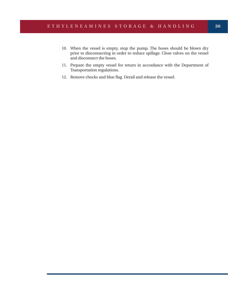- 10. When the vessel is empty, stop the pump. The hoses should be blown dry prior to disconnecting in order to reduce spillage. Close valves on the vessel and disconnect the hoses.
- 11. Prepare the empty vessel for return in accordance with the Department of Transportation regulations.
- 12. Remove chocks and blue flag. Derail and release the vessel.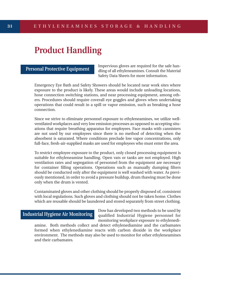# **Product Handling**

**Personal Protective Equipment**

Impervious gloves are required for the safe handling of all ethyleneamines. Consult the Material Safety Data Sheets for more information.

Emergency Eye Bath and Safety Showers should be located near work sites where exposure to the product is likely. These areas would include unloading locations, hose connection switching stations, and near processing equipment, among others. Procedures should require coverall eye goggles and gloves when undertaking operations that could result in a spill or vapor emission, such as breaking a hose connection.

Since we strive to eliminate personnel exposure to ethyleneamines, we utilize wellventilated workplaces and very low emission processes as opposed to accepting situations that require breathing apparatus for employees. Face masks with cannisters are not used by our employees since there is no method of detecting when the absorbent is saturated. Where conditions preclude low vapor concentrations, only full-face, fresh-air-supplied masks are used for employees who must enter the area.

To restrict employee exposure to the product, only closed processing equipment is suitable for ethyleneamine handling. Open vats or tanks are not employed. High ventilation rates and segregation of personnel from the equipment are necessary for container filling operations. Operations such as manually dumping filters should be conducted only after the equipment is well washed with water. As previously mentioned, in order to avoid a pressure buildup, drum thawing must be done only when the drum is vented.

Contaminated gloves and other clothing should be properly disposed of, consistent with local regulations. Such gloves and clothing should not be taken home. Clothes which are reusable should be laundered and stored separately from street clothing.

#### **Industrial Hygiene Air Monitoring**

Dow has developed two methods to be used by qualified Industrial Hygiene personnel for monitoring workplace exposure to ethylenedi-

amine. Both methods collect and detect ethylenediamine and the carbamates formed when ethylenediamine reacts with carbon dioxide in the workplace environment. The methods may also be used to monitor for other ethyleneamines and their carbamates.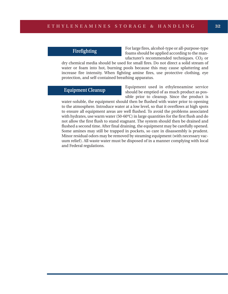## **Firefighting**

For large fires, alcohol-type or all-purpose-type foams should be applied according to the manufacturer's recommended techniques. CO<sub>2</sub> or

dry chemical media should be used for small fires. Do not direct a solid stream of water or foam into hot, burning pools because this may cause splattering and increase fire intensity. When fighting amine fires, use protective clothing, eye protection, and self-contained breathing apparatus.

# **Equipment Cleanup**

Equipment used in ethyleneamine service should be emptied of as much product as possible prior to cleanup. Since the product is

water-soluble, the equipment should then be flushed with water prior to opening to the atmosphere. Introduce water at a low level, so that it overflows at high spots to ensure all equipment areas are well flushed. To avoid the problems associated with hydrates, use warm water (50-60°C) in large quantities for the first flush and do not allow the first flush to stand stagnant. The system should then be drained and flushed a second time. After final draining, the equipment may be carefully opened. Some amines may still be trapped in pockets, so care in disassembly is prudent. Minor residual odors may be removed by steaming equipment (with necessary vacuum relief). All waste water must be disposed of in a manner complying with local and Federal regulations.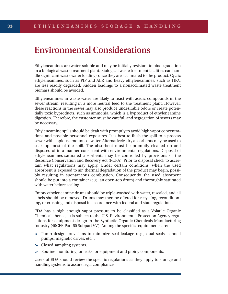# **Environmental Considerations**

Ethyleneamines are water-soluble and may be initially resistant to biodegradation in a biological waste treatment plant. Biological waste treatment facilities can handle significant waste water loadings once they are acclimated to the product. Cyclic ethyleneamines, such as PIP and AEP, and heavy ethyleneamines, such as HPA, are less readily degraded. Sudden loadings to a nonacclimated waste treatment biomass should be avoided.

Ethyleneamines in waste water are likely to react with acidic compounds in the sewer stream, resulting in a more neutral feed to the treatment plant. However, these reactions in the sewer may also produce undesirable odors or create potentially toxic byproducts, such as ammonia, which is a byproduct of ethyleneamine digestion. Therefore, the customer must be careful, and segregation of sewers may be necessary.

Ethyleneamine spills should be dealt with promptly to avoid high vapor concentrations and possible personnel exposures. It is best to flush the spill to a process sewer with copious amounts of water. Alternatively, dry absorbents may be used to soak up most of the spill. The absorbent must be promptly cleaned up and disposed of in a manner consistent with environmental regulations. Disposal of ethyleneamines-saturated absorbents may be controlled by provisions of the Resource Conservation and Recovery Act (RCRA). Prior to disposal check to ascertain what regulations may apply. Under certain conditions, when the used absorbent is exposed to air, thermal degradation of the product may begin, possibly resulting in spontaneous combustion. Consequently, the used absorbent should be put into a container (e.g., an open-top drum) and thoroughly saturated with water before sealing.

Empty ethyleneamine drums should be triple-washed with water, resealed, and all labels should be removed. Drums may then be offered for recycling, reconditioning, or crushing and disposal in accordance with federal and state regulations.

EDA has a high enough vapor pressure to be classified as a Volatile Organic Chemical; hence, it is subject to the U.S. Environmental Protection Agency regulations for equipment design in the Synthetic Organic Chemicals Manufacturing Industry (40CFR Part 60 Subpart VV). Among the specific requirements are:

- ➢ Pump design provisions to minimize seal leakage (e.g., dual seals, canned pumps, magnetic drives, etc.).
- $\triangleright$  Closed sampling systems.
- $\triangleright$  Routine monitoring for leaks for equipment and piping components.

Users of EDA should review the specific regulations as they apply to storage and handling systems to assure legal compliance.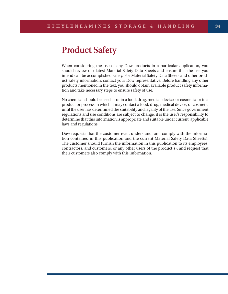# **Product Safety**

When considering the use of any Dow products in a particular application, you should review our latest Material Safety Data Sheets and ensure that the use you intend can be accomplished safely. For Material Safety Data Sheets and other product safety information, contact your Dow representative. Before handling any other products mentioned in the text, you should obtain available product safety information and take necessary steps to ensure safety of use.

No chemical should be used as or in a food, drug, medical device, or cosmetic, or in a product or process in which it may contact a food, drug, medical device, or cosmetic until the user has determined the suitability and legality of the use. Since government regulations and use conditions are subject to change, it is the user's responsibility to determine that this information is appropriate and suitable under current, applicable laws and regulations.

Dow requests that the customer read, understand, and comply with the information contained in this publication and the current Material Safety Data Sheet(s). The customer should furnish the information in this publication to its employees, contractors, and customers, or any other users of the product(s), and request that their customers also comply with this information.